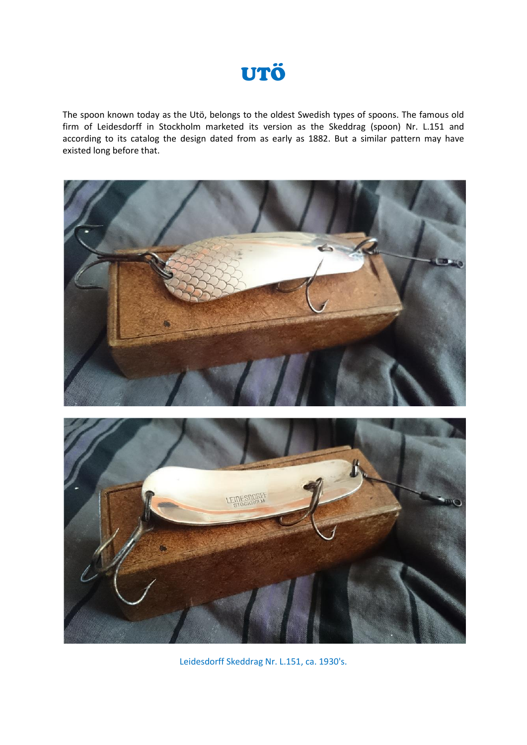

The spoon known today as the Utö, belongs to the oldest Swedish types of spoons. The famous old firm of Leidesdorff in Stockholm marketed its version as the Skeddrag (spoon) Nr. L.151 and according to its catalog the design dated from as early as 1882. But a similar pattern may have existed long before that.



Leidesdorff Skeddrag Nr. L.151, ca. 1930's.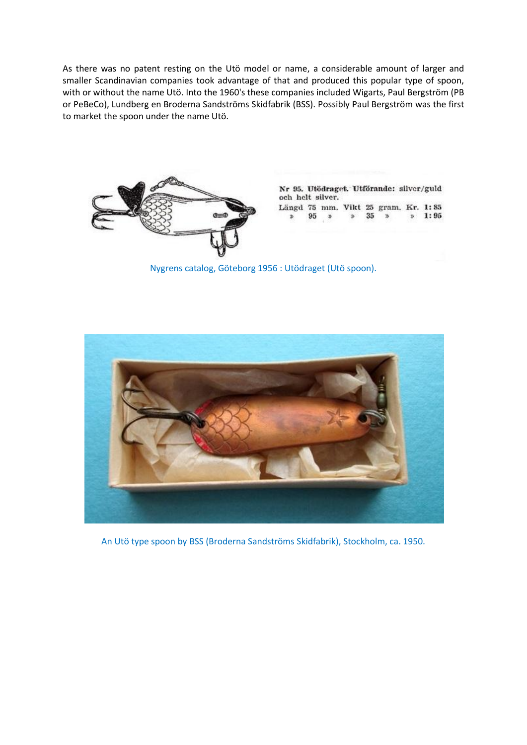As there was no patent resting on the Utö model or name, a considerable amount of larger and smaller Scandinavian companies took advantage of that and produced this popular type of spoon, with or without the name Utö. Into the 1960's these companies included Wigarts, Paul Bergström (PB or PeBeCo), Lundberg en Broderna Sandströms Skidfabrik (BSS). Possibly Paul Bergström was the first to market the spoon under the name Utö.



Nr 95. Utödraget. Utförande: silver/guld och helt silver. Längd 75 mm. Vikt 25 gram. Kr. 1:85

95  $\ddot{\phi}$  $35\,$  $\overline{5}$  $p = 1:95$  $\mathbf{B}$ 

Nygrens catalog, Göteborg 1956 : Utödraget (Utö spoon).



An Utö type spoon by BSS (Broderna Sandströms Skidfabrik), Stockholm, ca. 1950.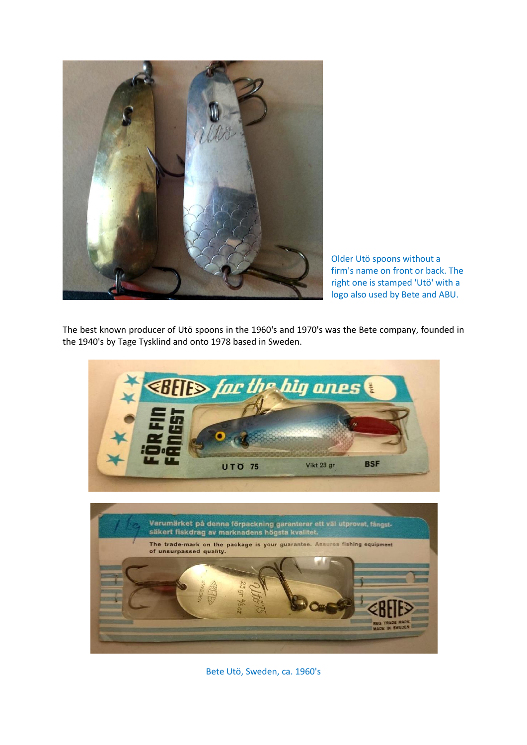

Older Utö spoons without a firm's name on front or back. The right one is stamped 'Utö' with a logo also used by Bete and ABU.

The best known producer of Utö spoons in the 1960's and 1970's was the Bete company, founded in the 1940's by Tage Tysklind and onto 1978 based in Sweden.



Bete Utö, Sweden, ca. 1960's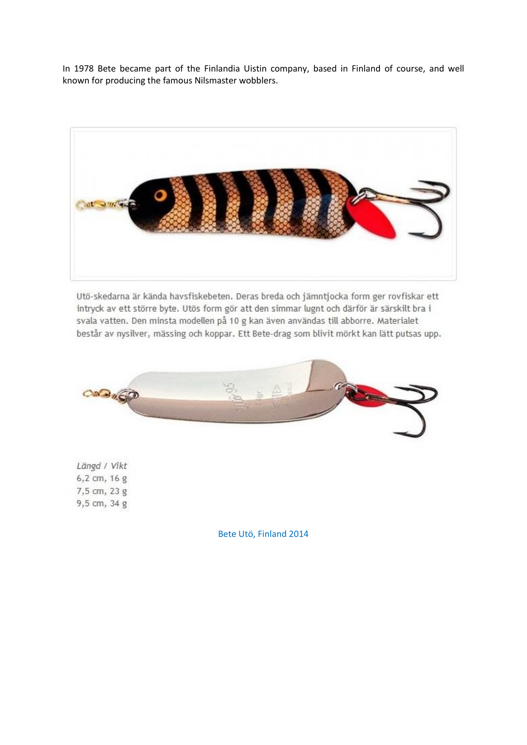In 1978 Bete became part of the Finlandia Uistin company, based in Finland of course, and well known for producing the famous Nilsmaster wobblers.



Utö-skedarna är kända havsfiskebeten. Deras breda och jämntjocka form ger rovfiskar ett intryck av ett större byte. Utös form gör att den simmar lugnt och därför är särskilt bra i svala vatten. Den minsta modellen på 10 g kan även användas till abborre. Materialet består av nysilver, mässing och koppar. Ett Bete-drag som blivit mörkt kan lätt putsas upp.



Längd / Vikt 6,2 cm, 16 g 7,5 cm, 23 g 9,5 cm, 34 g

Bete Utö, Finland 2014